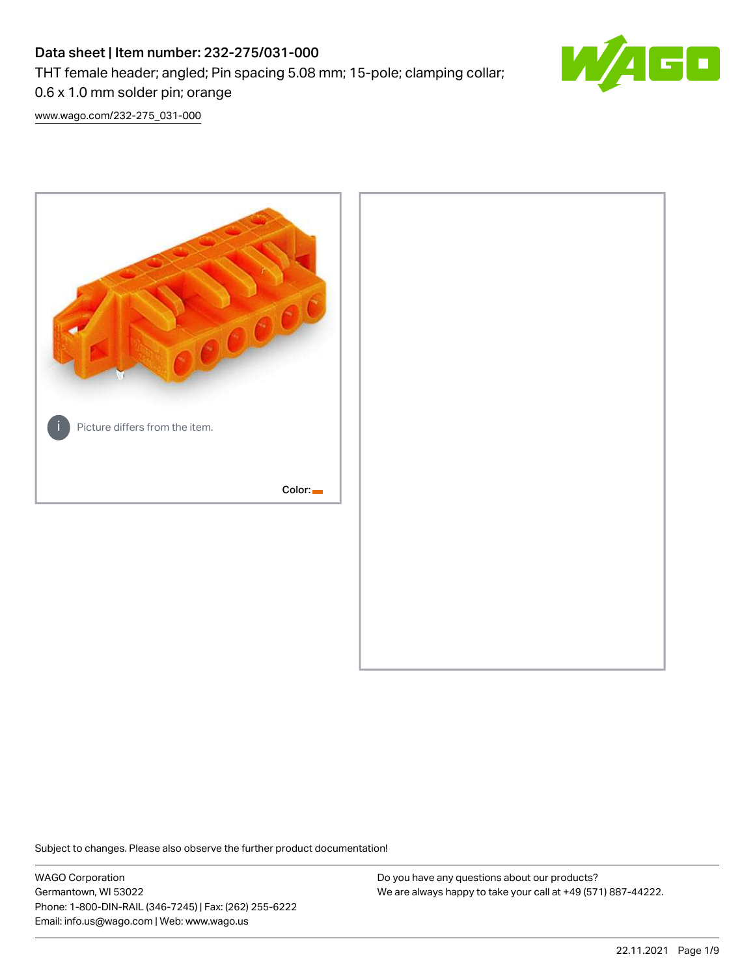# Data sheet | Item number: 232-275/031-000 THT female header; angled; Pin spacing 5.08 mm; 15-pole; clamping collar; 0.6 x 1.0 mm solder pin; orange



[www.wago.com/232-275\\_031-000](http://www.wago.com/232-275_031-000)



Subject to changes. Please also observe the further product documentation!

WAGO Corporation Germantown, WI 53022 Phone: 1-800-DIN-RAIL (346-7245) | Fax: (262) 255-6222 Email: info.us@wago.com | Web: www.wago.us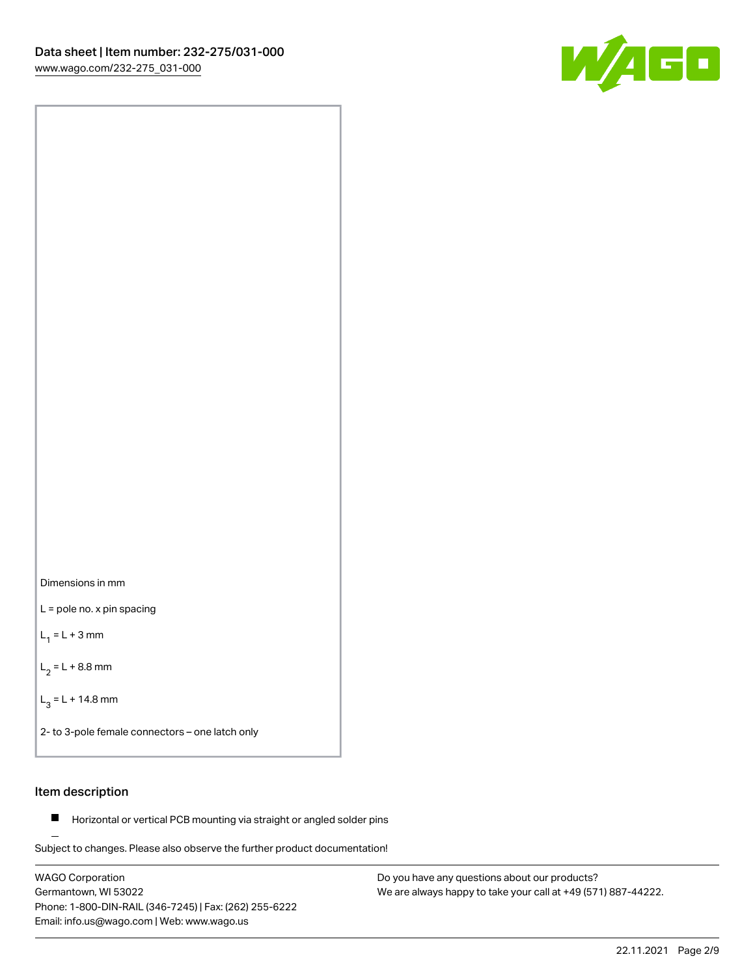

Dimensions in mm

L = pole no. x pin spacing

 $L_1 = L + 3$  mm

 $L_2 = L + 8.8$  mm

 $L_3 = L + 14.8$  mm

2- to 3-pole female connectors – one latch only

## Item description

**Horizontal or vertical PCB mounting via straight or angled solder pins** 

Subject to changes. Please also observe the further product documentation! For board-to-board and board-to-wire connections

WAGO Corporation Germantown, WI 53022 Phone: 1-800-DIN-RAIL (346-7245) | Fax: (262) 255-6222 Email: info.us@wago.com | Web: www.wago.us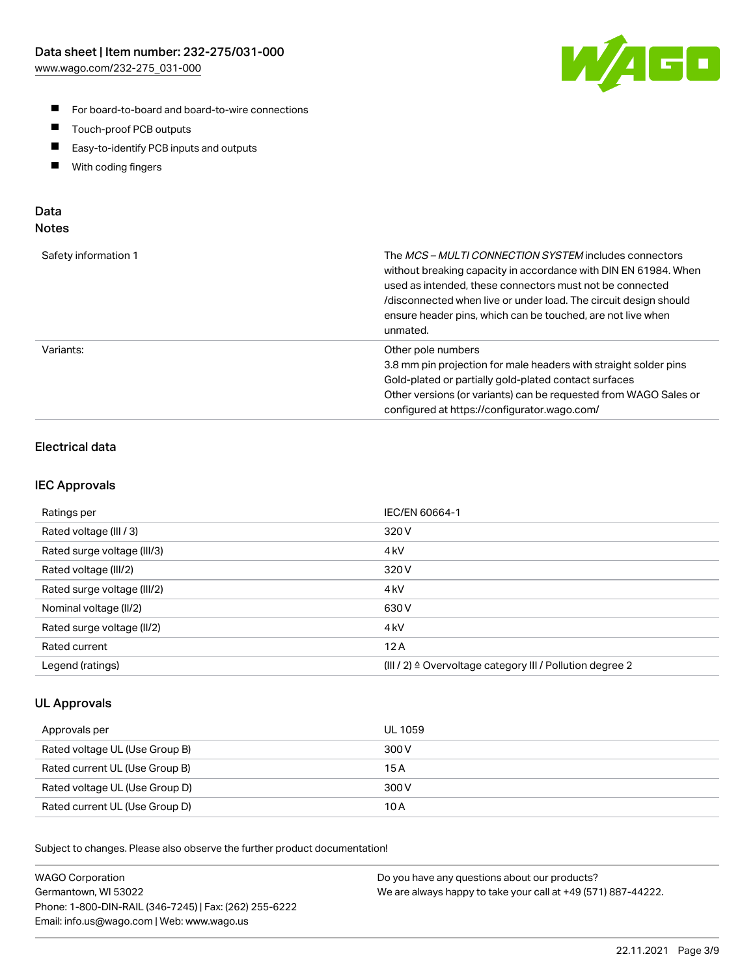

- For board-to-board and board-to-wire connections
- $\blacksquare$ Touch-proof PCB outputs
- $\blacksquare$ Easy-to-identify PCB inputs and outputs
- $\blacksquare$ With coding fingers

### Data **Notes**

| Safety information 1 | The <i>MCS – MULTI CONNECTION SYSTEM</i> includes connectors<br>without breaking capacity in accordance with DIN EN 61984. When<br>used as intended, these connectors must not be connected<br>/disconnected when live or under load. The circuit design should<br>ensure header pins, which can be touched, are not live when<br>unmated. |
|----------------------|--------------------------------------------------------------------------------------------------------------------------------------------------------------------------------------------------------------------------------------------------------------------------------------------------------------------------------------------|
| Variants:            | Other pole numbers<br>3.8 mm pin projection for male headers with straight solder pins<br>Gold-plated or partially gold-plated contact surfaces<br>Other versions (or variants) can be requested from WAGO Sales or<br>configured at https://configurator.wago.com/                                                                        |

# Electrical data

### IEC Approvals

| Ratings per                 | IEC/EN 60664-1                                                        |
|-----------------------------|-----------------------------------------------------------------------|
| Rated voltage (III / 3)     | 320 V                                                                 |
| Rated surge voltage (III/3) | 4 <sub>k</sub> V                                                      |
| Rated voltage (III/2)       | 320 V                                                                 |
| Rated surge voltage (III/2) | 4 <sub>k</sub> V                                                      |
| Nominal voltage (II/2)      | 630 V                                                                 |
| Rated surge voltage (II/2)  | 4 <sub>kV</sub>                                                       |
| Rated current               | 12A                                                                   |
| Legend (ratings)            | $(III / 2)$ $\triangle$ Overvoltage category III / Pollution degree 2 |

### UL Approvals

| Approvals per                  | UL 1059 |
|--------------------------------|---------|
| Rated voltage UL (Use Group B) | 300 V   |
| Rated current UL (Use Group B) | 15 A    |
| Rated voltage UL (Use Group D) | 300 V   |
| Rated current UL (Use Group D) | 10 A    |

Subject to changes. Please also observe the further product documentation!

| <b>WAGO Corporation</b>                                | Do you have any questions about our products?                 |
|--------------------------------------------------------|---------------------------------------------------------------|
| Germantown, WI 53022                                   | We are always happy to take your call at +49 (571) 887-44222. |
| Phone: 1-800-DIN-RAIL (346-7245)   Fax: (262) 255-6222 |                                                               |
| Email: info.us@wago.com   Web: www.wago.us             |                                                               |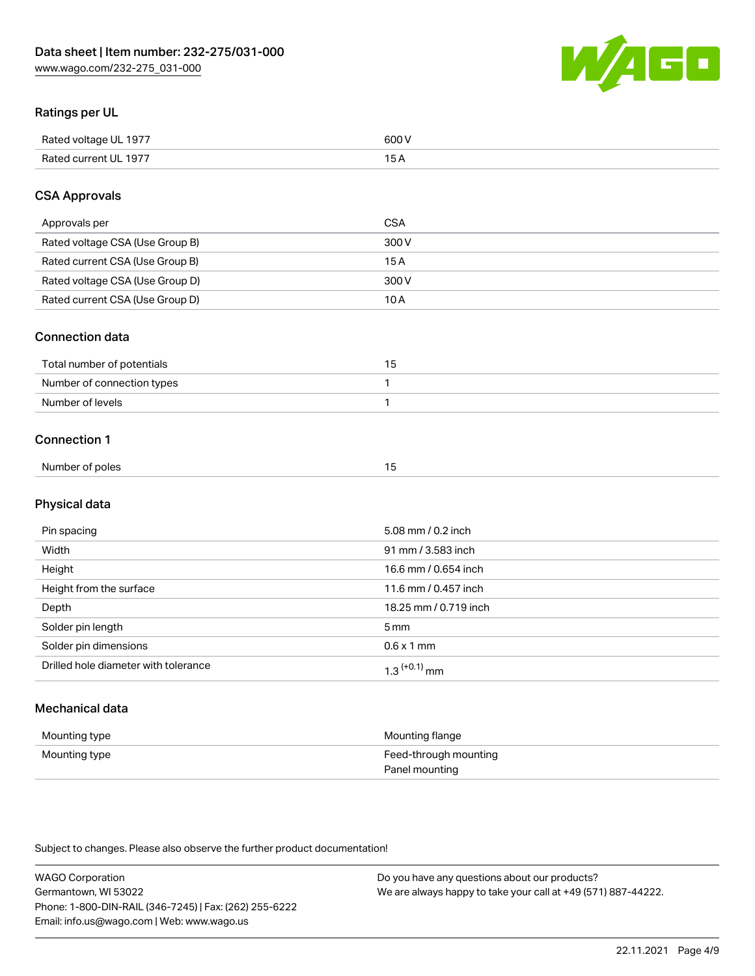

## Ratings per UL

| Rated voltage UL 1977 | 600   |
|-----------------------|-------|
| Rated current UL 1977 | . O F |

## CSA Approvals

| Approvals per                   | CSA   |
|---------------------------------|-------|
| Rated voltage CSA (Use Group B) | 300 V |
| Rated current CSA (Use Group B) | 15 A  |
| Rated voltage CSA (Use Group D) | 300 V |
| Rated current CSA (Use Group D) | 10 A  |

#### Connection data

| Total number of potentials |  |
|----------------------------|--|
| Number of connection types |  |
| Number of levels           |  |

#### Connection 1

| Number of poles |  |
|-----------------|--|
|                 |  |

# Physical data

| Pin spacing                          | 5.08 mm / 0.2 inch    |
|--------------------------------------|-----------------------|
| Width                                | 91 mm / 3.583 inch    |
| Height                               | 16.6 mm / 0.654 inch  |
| Height from the surface              | 11.6 mm / 0.457 inch  |
| Depth                                | 18.25 mm / 0.719 inch |
| Solder pin length                    | 5 <sub>mm</sub>       |
| Solder pin dimensions                | $0.6 \times 1$ mm     |
| Drilled hole diameter with tolerance | $1.3$ $(+0.1)$ mm     |

# Mechanical data

| Mounting type | Mounting flange                         |
|---------------|-----------------------------------------|
| Mounting type | Feed-through mounting<br>Panel mounting |

Subject to changes. Please also observe the further product documentation!

| <b>WAGO Corporation</b>                                | Do you have any questions about our products?                 |
|--------------------------------------------------------|---------------------------------------------------------------|
| Germantown, WI 53022                                   | We are always happy to take your call at +49 (571) 887-44222. |
| Phone: 1-800-DIN-RAIL (346-7245)   Fax: (262) 255-6222 |                                                               |
| Email: info.us@wago.com   Web: www.wago.us             |                                                               |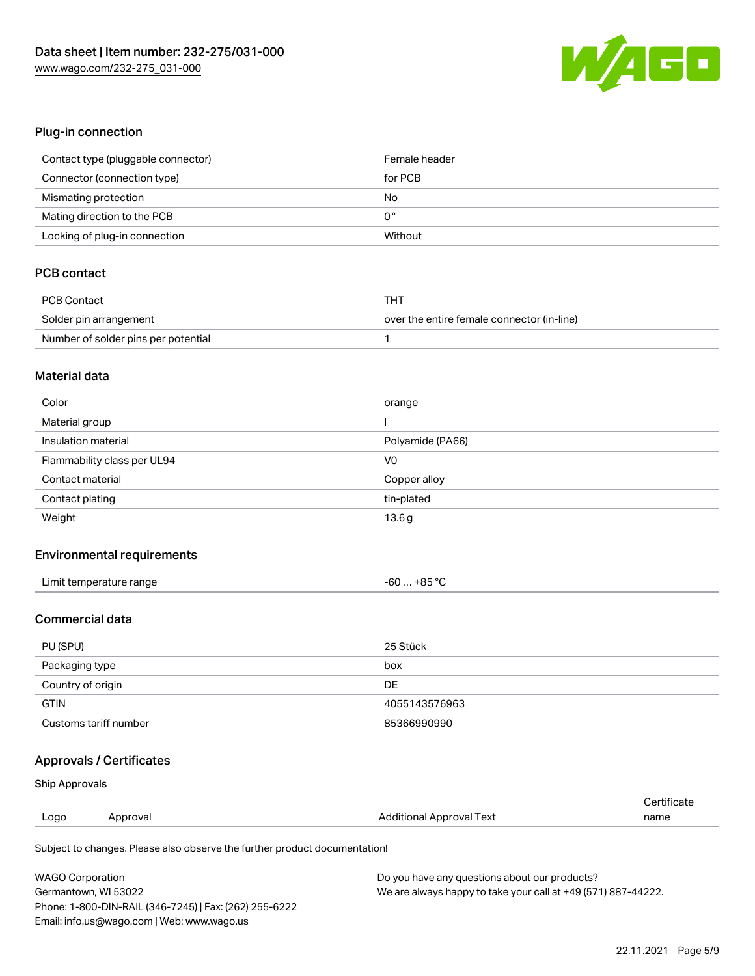

## Plug-in connection

| Contact type (pluggable connector) | Female header |
|------------------------------------|---------------|
| Connector (connection type)        | for PCB       |
| Mismating protection               | No            |
| Mating direction to the PCB        | 0°            |
| Locking of plug-in connection      | Without       |

# PCB contact

| PCB Contact                         | THT                                        |
|-------------------------------------|--------------------------------------------|
| Solder pin arrangement              | over the entire female connector (in-line) |
| Number of solder pins per potential |                                            |

#### Material data

| Color                       | orange           |
|-----------------------------|------------------|
| Material group              |                  |
| Insulation material         | Polyamide (PA66) |
| Flammability class per UL94 | V0               |
| Contact material            | Copper alloy     |
| Contact plating             | tin-plated       |
| Weight                      | 13.6g            |

# Environmental requirements

| Limit temperature range<br>. | $-60+85 °C$ |  |
|------------------------------|-------------|--|
|------------------------------|-------------|--|

# Commercial data

| PU (SPU)              | 25 Stück      |
|-----------------------|---------------|
| Packaging type        | box           |
| Country of origin     | DE            |
| <b>GTIN</b>           | 4055143576963 |
| Customs tariff number | 85366990990   |

# Approvals / Certificates

#### Ship Approvals

|                                                                            |          |                          | Certificate |
|----------------------------------------------------------------------------|----------|--------------------------|-------------|
| Logo                                                                       | Approval | Additional Approval Text | name        |
| Subject to changes. Please also observe the further product documentation! |          |                          |             |

| <b>WAGO Corporation</b>                                | Do you have any questions about our products?                 |
|--------------------------------------------------------|---------------------------------------------------------------|
| Germantown, WI 53022                                   | We are always happy to take your call at +49 (571) 887-44222. |
| Phone: 1-800-DIN-RAIL (346-7245)   Fax: (262) 255-6222 |                                                               |
| Email: info.us@wago.com   Web: www.wago.us             |                                                               |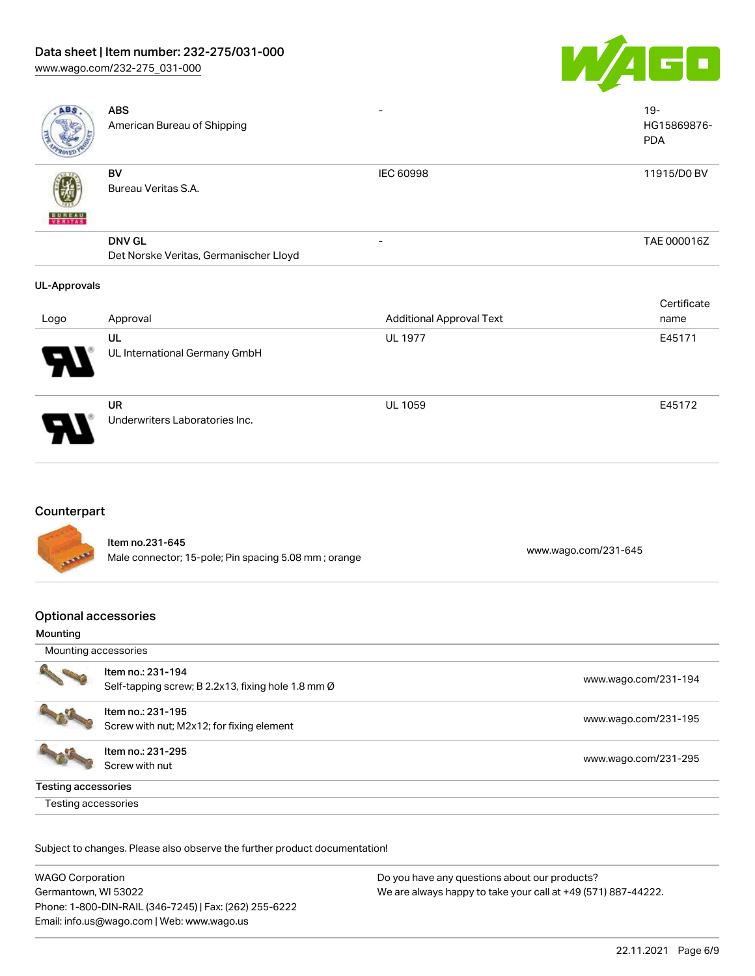# Data sheet | Item number: 232-275/031-000

[www.wago.com/232-275\\_031-000](http://www.wago.com/232-275_031-000)



| <b>ABS</b>               | <b>ABS</b><br>American Bureau of Shipping               |                                 | $19 -$<br>HG15869876-<br><b>PDA</b> |
|--------------------------|---------------------------------------------------------|---------------------------------|-------------------------------------|
| <b>BUREAU</b><br>VERITAS | BV<br>Bureau Veritas S.A.                               | <b>IEC 60998</b>                | 11915/D0 BV                         |
|                          | <b>DNV GL</b><br>Det Norske Veritas, Germanischer Lloyd |                                 | TAE 000016Z                         |
| <b>UL-Approvals</b>      |                                                         |                                 |                                     |
| Logo                     | Approval                                                | <b>Additional Approval Text</b> | Certificate<br>name                 |
|                          | UL<br>UL International Germany GmbH                     | <b>UL 1977</b>                  | E45171                              |

UR Underwriters Laboratories Inc.

# Counterpart

Item no.231-645 nem 10.231-043<br>Male connector; 15-pole; Pin spacing 5.08 mm ; orange [www.wago.com/231-645](https://www.wago.com/231-645)

UL 1059 E45172

# Optional accessories

#### Mounting

| Mounting accessories |                                                                         |                      |  |  |
|----------------------|-------------------------------------------------------------------------|----------------------|--|--|
|                      | Item no.: 231-194<br>Self-tapping screw; B 2.2x13, fixing hole 1.8 mm Ø | www.wago.com/231-194 |  |  |
|                      | Item no.: 231-195<br>Screw with nut; M2x12; for fixing element          | www.wago.com/231-195 |  |  |
|                      | Item no.: 231-295<br>Screw with nut                                     | www.wago.com/231-295 |  |  |
| Testing accessories  |                                                                         |                      |  |  |
| Testing accessories  |                                                                         |                      |  |  |

Subject to changes. Please also observe the further product documentation!

| <b>WAGO Corporation</b>                                | Do you have any questions about our products?                 |
|--------------------------------------------------------|---------------------------------------------------------------|
| Germantown, WI 53022                                   | We are always happy to take your call at +49 (571) 887-44222. |
| Phone: 1-800-DIN-RAIL (346-7245)   Fax: (262) 255-6222 |                                                               |
| Email: info.us@wago.com   Web: www.wago.us             |                                                               |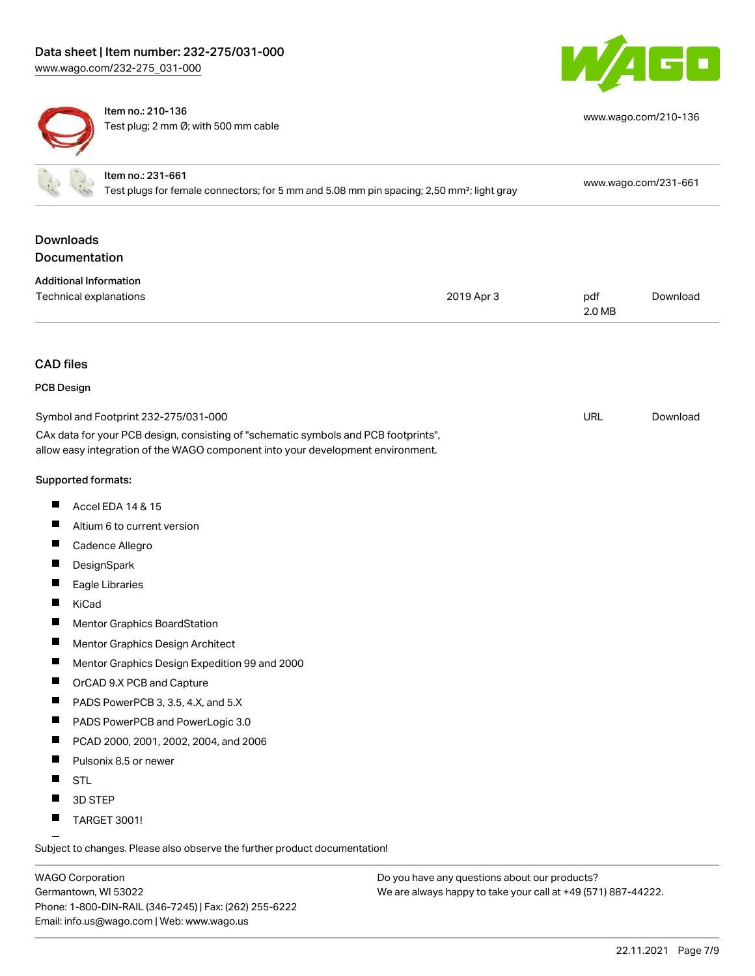



Item no.: 210-136 Test plug; 2 mm Ø; with 500 mm cable

| <b>Downloads</b><br><b>Documentation</b><br><b>Additional Information</b><br><b>Technical explanations</b><br>2019 Apr 3<br>pdf<br>2.0 MB<br><b>CAD</b> files<br><b>PCB Design</b><br><b>URL</b><br>Symbol and Footprint 232-275/031-000<br>CAx data for your PCB design, consisting of "schematic symbols and PCB footprints",<br>allow easy integration of the WAGO component into your development environment.<br>Supported formats:<br>ш<br><b>Accel EDA 14 &amp; 15</b><br>ш<br>Altium 6 to current version<br>Cadence Allegro<br>DesignSpark<br>ш<br>Eagle Libraries<br>KiCad<br>Mentor Graphics BoardStation<br>П<br>Mentor Graphics Design Architect<br>Mentor Graphics Design Expedition 99 and 2000<br>OrCAD 9.X PCB and Capture<br>П<br>PADS PowerPCB 3, 3.5, 4.X, and 5.X<br>ш<br>PADS PowerPCB and PowerLogic 3.0<br>PCAD 2000, 2001, 2002, 2004, and 2006<br>П<br>Pulsonix 8.5 or newer<br>П<br><b>STL</b> | Item no.: 231-661<br>Test plugs for female connectors; for 5 mm and 5.08 mm pin spacing; 2,50 mm <sup>2</sup> ; light gray |  | www.wago.com/231-661 |          |
|---------------------------------------------------------------------------------------------------------------------------------------------------------------------------------------------------------------------------------------------------------------------------------------------------------------------------------------------------------------------------------------------------------------------------------------------------------------------------------------------------------------------------------------------------------------------------------------------------------------------------------------------------------------------------------------------------------------------------------------------------------------------------------------------------------------------------------------------------------------------------------------------------------------------------|----------------------------------------------------------------------------------------------------------------------------|--|----------------------|----------|
|                                                                                                                                                                                                                                                                                                                                                                                                                                                                                                                                                                                                                                                                                                                                                                                                                                                                                                                           |                                                                                                                            |  |                      |          |
|                                                                                                                                                                                                                                                                                                                                                                                                                                                                                                                                                                                                                                                                                                                                                                                                                                                                                                                           |                                                                                                                            |  |                      |          |
|                                                                                                                                                                                                                                                                                                                                                                                                                                                                                                                                                                                                                                                                                                                                                                                                                                                                                                                           |                                                                                                                            |  |                      | Download |
|                                                                                                                                                                                                                                                                                                                                                                                                                                                                                                                                                                                                                                                                                                                                                                                                                                                                                                                           |                                                                                                                            |  |                      |          |
|                                                                                                                                                                                                                                                                                                                                                                                                                                                                                                                                                                                                                                                                                                                                                                                                                                                                                                                           |                                                                                                                            |  |                      |          |
|                                                                                                                                                                                                                                                                                                                                                                                                                                                                                                                                                                                                                                                                                                                                                                                                                                                                                                                           |                                                                                                                            |  |                      | Download |
|                                                                                                                                                                                                                                                                                                                                                                                                                                                                                                                                                                                                                                                                                                                                                                                                                                                                                                                           |                                                                                                                            |  |                      |          |
|                                                                                                                                                                                                                                                                                                                                                                                                                                                                                                                                                                                                                                                                                                                                                                                                                                                                                                                           |                                                                                                                            |  |                      |          |
|                                                                                                                                                                                                                                                                                                                                                                                                                                                                                                                                                                                                                                                                                                                                                                                                                                                                                                                           |                                                                                                                            |  |                      |          |
|                                                                                                                                                                                                                                                                                                                                                                                                                                                                                                                                                                                                                                                                                                                                                                                                                                                                                                                           |                                                                                                                            |  |                      |          |
|                                                                                                                                                                                                                                                                                                                                                                                                                                                                                                                                                                                                                                                                                                                                                                                                                                                                                                                           |                                                                                                                            |  |                      |          |
|                                                                                                                                                                                                                                                                                                                                                                                                                                                                                                                                                                                                                                                                                                                                                                                                                                                                                                                           |                                                                                                                            |  |                      |          |
|                                                                                                                                                                                                                                                                                                                                                                                                                                                                                                                                                                                                                                                                                                                                                                                                                                                                                                                           |                                                                                                                            |  |                      |          |
|                                                                                                                                                                                                                                                                                                                                                                                                                                                                                                                                                                                                                                                                                                                                                                                                                                                                                                                           |                                                                                                                            |  |                      |          |
|                                                                                                                                                                                                                                                                                                                                                                                                                                                                                                                                                                                                                                                                                                                                                                                                                                                                                                                           |                                                                                                                            |  |                      |          |
|                                                                                                                                                                                                                                                                                                                                                                                                                                                                                                                                                                                                                                                                                                                                                                                                                                                                                                                           |                                                                                                                            |  |                      |          |
|                                                                                                                                                                                                                                                                                                                                                                                                                                                                                                                                                                                                                                                                                                                                                                                                                                                                                                                           |                                                                                                                            |  |                      |          |
|                                                                                                                                                                                                                                                                                                                                                                                                                                                                                                                                                                                                                                                                                                                                                                                                                                                                                                                           |                                                                                                                            |  |                      |          |
|                                                                                                                                                                                                                                                                                                                                                                                                                                                                                                                                                                                                                                                                                                                                                                                                                                                                                                                           |                                                                                                                            |  |                      |          |
|                                                                                                                                                                                                                                                                                                                                                                                                                                                                                                                                                                                                                                                                                                                                                                                                                                                                                                                           |                                                                                                                            |  |                      |          |
|                                                                                                                                                                                                                                                                                                                                                                                                                                                                                                                                                                                                                                                                                                                                                                                                                                                                                                                           |                                                                                                                            |  |                      |          |

- **3D STEP**
- TARGET 3001!

Subject to changes. Please also observe the further product documentation!

WAGO Corporation Germantown, WI 53022 Phone: 1-800-DIN-RAIL (346-7245) | Fax: (262) 255-6222 Email: info.us@wago.com | Web: www.wago.us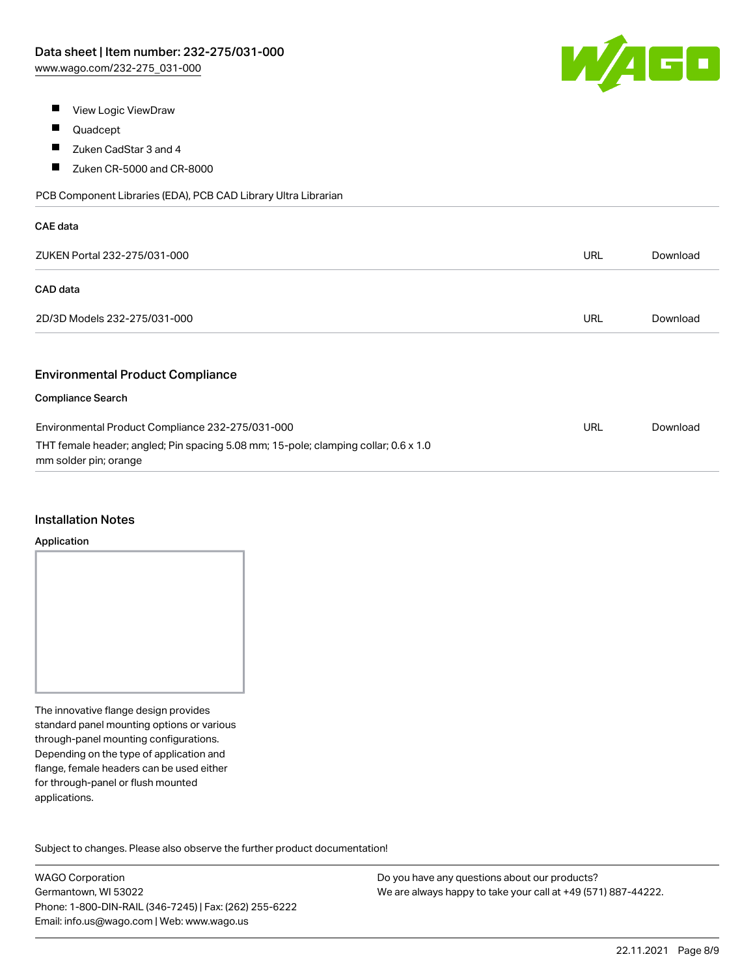

- $\blacksquare$ View Logic ViewDraw
- $\blacksquare$ Quadcept
- $\blacksquare$ Zuken CadStar 3 and 4
- $\blacksquare$ Zuken CR-5000 and CR-8000

PCB Component Libraries (EDA), PCB CAD Library Ultra Librarian

| <b>CAE</b> data                                                                                              |            |          |
|--------------------------------------------------------------------------------------------------------------|------------|----------|
| ZUKEN Portal 232-275/031-000                                                                                 | URL        | Download |
| CAD data                                                                                                     |            |          |
| 2D/3D Models 232-275/031-000                                                                                 | <b>URL</b> | Download |
|                                                                                                              |            |          |
| <b>Environmental Product Compliance</b>                                                                      |            |          |
| <b>Compliance Search</b>                                                                                     |            |          |
| Environmental Product Compliance 232-275/031-000                                                             | <b>URL</b> | Download |
| THT female header; angled; Pin spacing 5.08 mm; 15-pole; clamping collar; 0.6 x 1.0<br>mm solder pin; orange |            |          |

#### Installation Notes

#### Application

The innovative flange design provides standard panel mounting options or various through-panel mounting configurations. Depending on the type of application and flange, female headers can be used either for through-panel or flush mounted applications.

Subject to changes. Please also observe the further product documentation! Product family

WAGO Corporation Germantown, WI 53022 Phone: 1-800-DIN-RAIL (346-7245) | Fax: (262) 255-6222 Email: info.us@wago.com | Web: www.wago.us